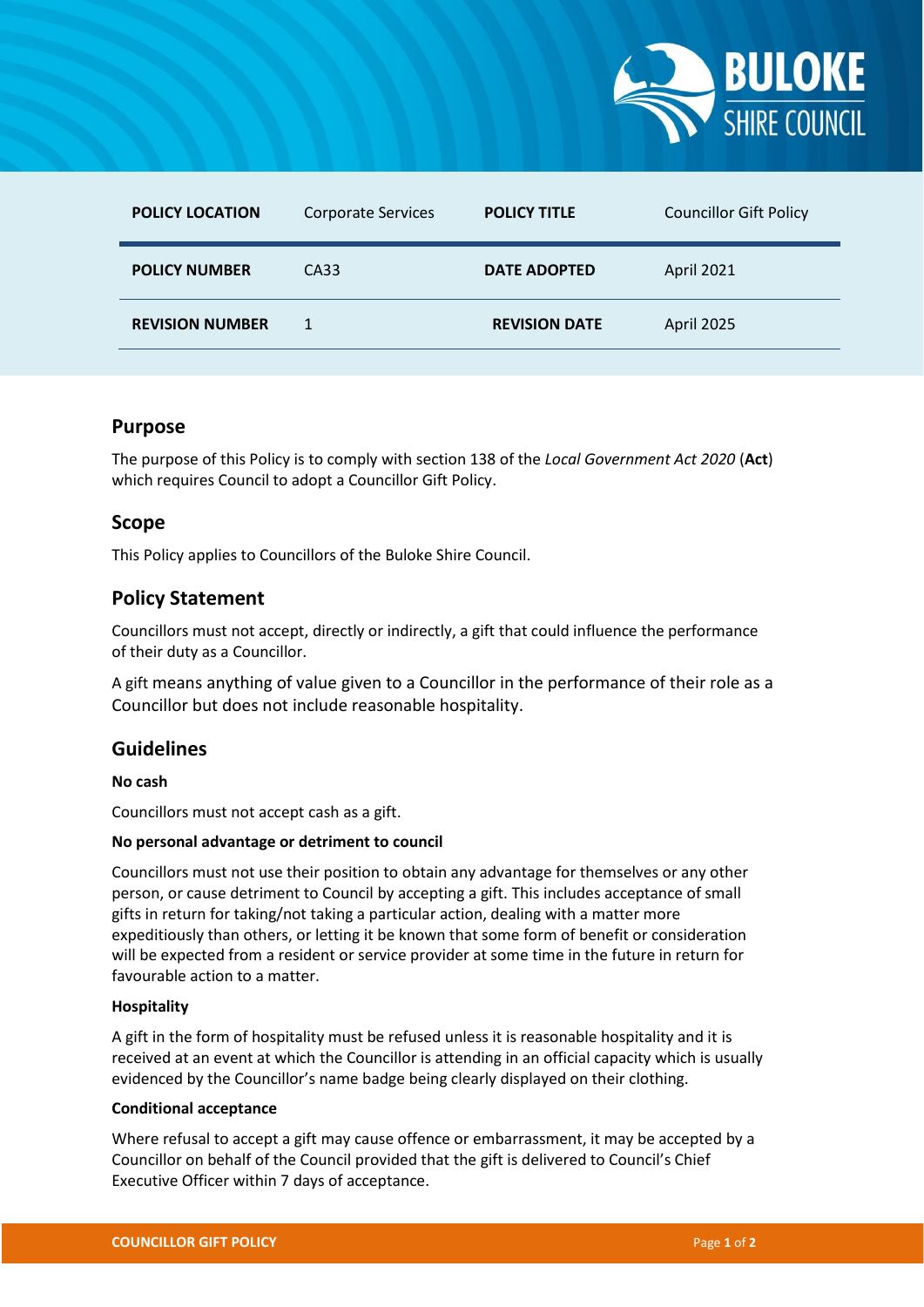

| <b>POLICY LOCATION</b> | <b>Corporate Services</b> | <b>POLICY TITLE</b>  | <b>Councillor Gift Policy</b> |
|------------------------|---------------------------|----------------------|-------------------------------|
| <b>POLICY NUMBER</b>   | CA33                      | <b>DATE ADOPTED</b>  | April 2021                    |
| <b>REVISION NUMBER</b> | 1                         | <b>REVISION DATE</b> | April 2025                    |

## **Purpose**

The purpose of this Policy is to comply with section 138 of the *Local Government Act 2020* (**Act**) which requires Council to adopt a Councillor Gift Policy.

## **Scope**

This Policy applies to Councillors of the Buloke Shire Council.

# **Policy Statement**

Councillors must not accept, directly or indirectly, a gift that could influence the performance of their duty as a Councillor.

A gift means anything of value given to a Councillor in the performance of their role as a Councillor but does not include reasonable hospitality.

# **Guidelines**

## **No cash**

Councillors must not accept cash as a gift.

### **No personal advantage or detriment to council**

Councillors must not use their position to obtain any advantage for themselves or any other person, or cause detriment to Council by accepting a gift. This includes acceptance of small gifts in return for taking/not taking a particular action, dealing with a matter more expeditiously than others, or letting it be known that some form of benefit or consideration will be expected from a resident or service provider at some time in the future in return for favourable action to a matter.

## **Hospitality**

A gift in the form of hospitality must be refused unless it is reasonable hospitality and it is received at an event at which the Councillor is attending in an official capacity which is usually evidenced by the Councillor's name badge being clearly displayed on their clothing.

### **Conditional acceptance**

Where refusal to accept a gift may cause offence or embarrassment, it may be accepted by a Councillor on behalf of the Council provided that the gift is delivered to Council's Chief Executive Officer within 7 days of acceptance.